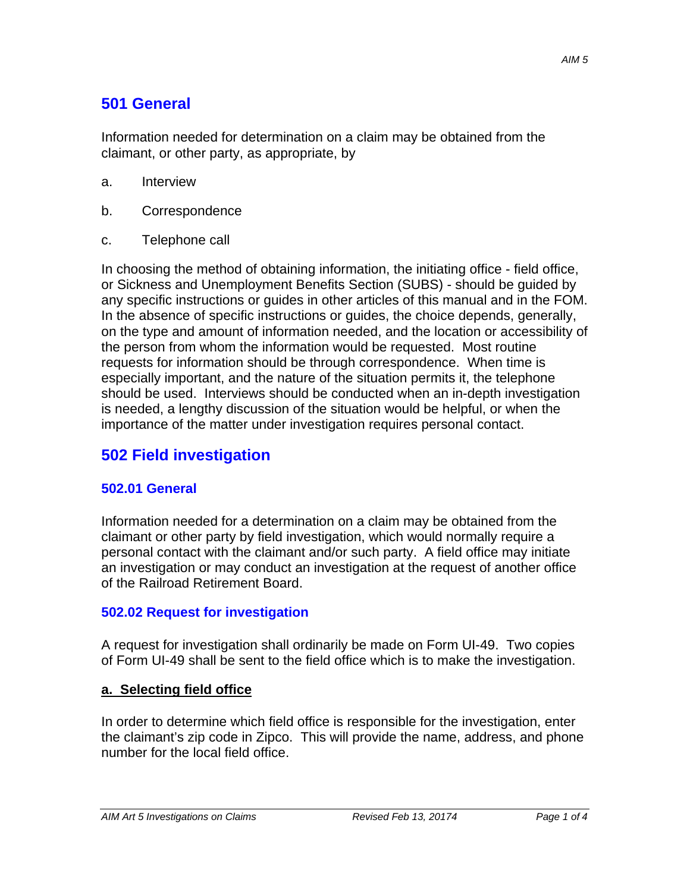# **501 General**

Information needed for determination on a claim may be obtained from the claimant, or other party, as appropriate, by

- a. Interview
- b. Correspondence
- c. Telephone call

In choosing the method of obtaining information, the initiating office - field office, or Sickness and Unemployment Benefits Section (SUBS) - should be guided by any specific instructions or guides in other articles of this manual and in the FOM. In the absence of specific instructions or guides, the choice depends, generally, on the type and amount of information needed, and the location or accessibility of the person from whom the information would be requested. Most routine requests for information should be through correspondence. When time is especially important, and the nature of the situation permits it, the telephone should be used. Interviews should be conducted when an in-depth investigation is needed, a lengthy discussion of the situation would be helpful, or when the importance of the matter under investigation requires personal contact.

## **502 Field investigation**

#### **502.01 General**

Information needed for a determination on a claim may be obtained from the claimant or other party by field investigation, which would normally require a personal contact with the claimant and/or such party. A field office may initiate an investigation or may conduct an investigation at the request of another office of the Railroad Retirement Board.

### **502.02 Request for investigation**

A request for investigation shall ordinarily be made on Form UI-49. Two copies of Form UI-49 shall be sent to the field office which is to make the investigation.

#### **a. Selecting field office**

In order to determine which field office is responsible for the investigation, enter the claimant's zip code in Zipco. This will provide the name, address, and phone number for the local field office.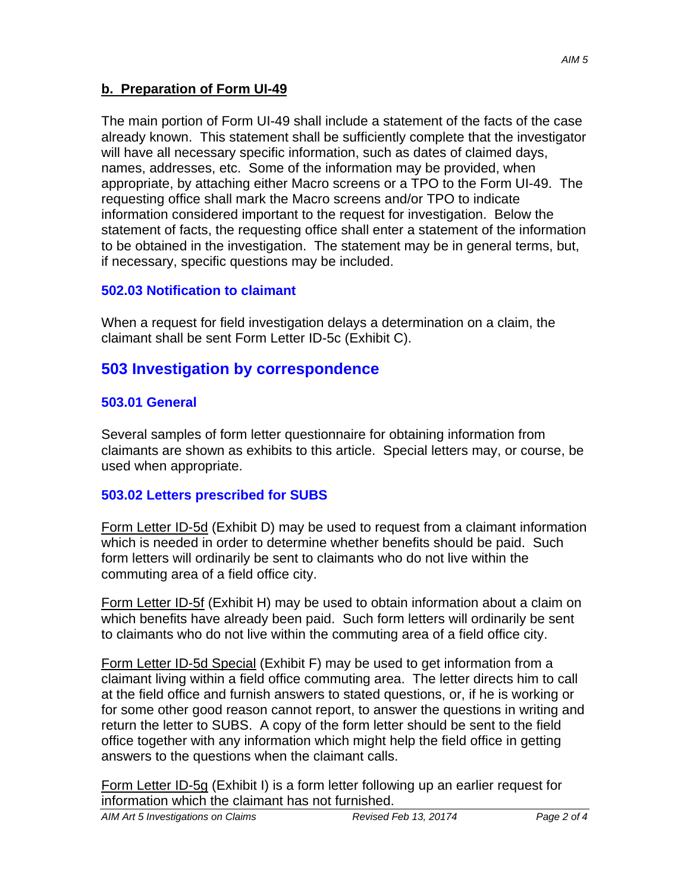### **b. Preparation of Form UI-49**

The main portion of Form UI-49 shall include a statement of the facts of the case already known. This statement shall be sufficiently complete that the investigator will have all necessary specific information, such as dates of claimed days, names, addresses, etc. Some of the information may be provided, when appropriate, by attaching either Macro screens or a TPO to the Form UI-49. The requesting office shall mark the Macro screens and/or TPO to indicate information considered important to the request for investigation. Below the statement of facts, the requesting office shall enter a statement of the information to be obtained in the investigation. The statement may be in general terms, but, if necessary, specific questions may be included.

### **502.03 Notification to claimant**

When a request for field investigation delays a determination on a claim, the claimant shall be sent Form Letter ID-5c (Exhibit C).

### **503 Investigation by correspondence**

### **503.01 General**

Several samples of form letter questionnaire for obtaining information from claimants are shown as exhibits to this article. Special letters may, or course, be used when appropriate.

### **503.02 Letters prescribed for SUBS**

Form Letter ID-5d (Exhibit D) may be used to request from a claimant information which is needed in order to determine whether benefits should be paid. Such form letters will ordinarily be sent to claimants who do not live within the commuting area of a field office city.

Form Letter ID-5f (Exhibit H) may be used to obtain information about a claim on which benefits have already been paid. Such form letters will ordinarily be sent to claimants who do not live within the commuting area of a field office city.

Form Letter ID-5d Special (Exhibit F) may be used to get information from a claimant living within a field office commuting area. The letter directs him to call at the field office and furnish answers to stated questions, or, if he is working or for some other good reason cannot report, to answer the questions in writing and return the letter to SUBS. A copy of the form letter should be sent to the field office together with any information which might help the field office in getting answers to the questions when the claimant calls.

Form Letter ID-5g (Exhibit I) is a form letter following up an earlier request for information which the claimant has not furnished.